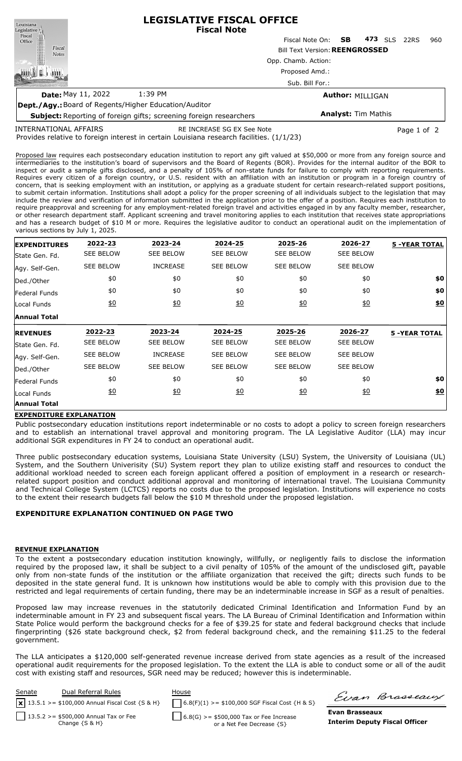| Louisiana                                                    | <b>LEGISLATIVE FISCAL OFFICE</b><br><b>Fiscal Note</b>                         |                           |                            |     |            |      |     |  |  |  |
|--------------------------------------------------------------|--------------------------------------------------------------------------------|---------------------------|----------------------------|-----|------------|------|-----|--|--|--|
|                                                              |                                                                                | Fiscal Note On: <b>SB</b> |                            | 473 | <b>SLS</b> | 22RS | 960 |  |  |  |
| Legislative<br>Fiscal<br>Office<br>Fiscal<br><b>Notes</b>    | <b>Bill Text Version: REENGROSSED</b><br>Opp. Chamb. Action:<br>Proposed Amd.: |                           |                            |     |            |      |     |  |  |  |
|                                                              |                                                                                |                           |                            |     |            |      |     |  |  |  |
|                                                              |                                                                                |                           |                            |     |            |      |     |  |  |  |
|                                                              | Sub. Bill For.:                                                                |                           |                            |     |            |      |     |  |  |  |
| <b>Date: May 11, 2022</b>                                    | 1:39 PM                                                                        | <b>Author: MILLIGAN</b>   |                            |     |            |      |     |  |  |  |
| <b>Dept./Agy.:</b> Board of Regents/Higher Education/Auditor |                                                                                |                           |                            |     |            |      |     |  |  |  |
|                                                              | <b>Subject:</b> Reporting of foreign gifts: screening foreign researchers      |                           | <b>Analyst: Tim Mathis</b> |     |            |      |     |  |  |  |

INTERNATIONAL AFFAIRS

RE INCREASE SG EX See Note **Page 1 of 2** and 2

Provides relative to foreign interest in certain Louisiana research facilities. (1/1/23)

**Subject:** Reporting of foreign gifts; screening foreign researchers

Proposed law requires each postsecondary education institution to report any gift valued at \$50,000 or more from any foreign source and intermediaries to the institution's board of supervisors and the Board of Regents (BOR). Provides for the internal auditor of the BOR to inspect or audit a sample gifts disclosed, and a penalty of 105% of non-state funds for failure to comply with reporting requirements. Requires every citizen of a foreign country, or U.S. resident with an affiliation with an institution or program in a foreign country of concern, that is seeking employment with an institution, or applying as a graduate student for certain research-related support positions, to submit certain information. Institutions shall adopt a policy for the proper screening of all individuals subject to the legislation that may include the review and verification of information submitted in the application prior to the offer of a position. Requires each institution to require preapproval and screening for any employment-related foreign travel and activities engaged in by any faculty member, researcher, or other research department staff. Applicant screening and travel monitoring applies to each institution that receives state appropriations and has a research budget of \$10 M or more. Requires the legislative auditor to conduct an operational audit on the implementation of various sections by July 1, 2025.

| <b>EXPENDITURES</b> | 2022-23          | 2023-24          | 2024-25          | 2025-26          | 2026-27          | <b>5 -YEAR TOTAL</b> |
|---------------------|------------------|------------------|------------------|------------------|------------------|----------------------|
| State Gen. Fd.      | <b>SEE BELOW</b> | <b>SEE BELOW</b> | <b>SEE BELOW</b> | <b>SEE BELOW</b> | <b>SEE BELOW</b> |                      |
| Agy. Self-Gen.      | <b>SEE BELOW</b> | <b>INCREASE</b>  | <b>SEE BELOW</b> | <b>SEE BELOW</b> | <b>SEE BELOW</b> |                      |
| Ded./Other          | \$0              | \$0              | \$0              | \$0              | \$0              | \$0                  |
| Federal Funds       | \$0              | \$0              | \$0              | \$0              | \$0              | \$0                  |
| Local Funds         | 60               | 60               | 60               | $\underline{40}$ | $\underline{50}$ | \$0                  |
| <b>Annual Total</b> |                  |                  |                  |                  |                  |                      |
| <b>REVENUES</b>     | 2022-23          | 2023-24          | 2024-25          | 2025-26          | 2026-27          | <b>5 -YEAR TOTAL</b> |
| State Gen. Fd.      | <b>SEE BELOW</b> | <b>SEE BELOW</b> | <b>SEE BELOW</b> | <b>SEE BELOW</b> | <b>SEE BELOW</b> |                      |
| Agy. Self-Gen.      | <b>SEE BELOW</b> | <b>INCREASE</b>  | <b>SEE BELOW</b> | <b>SEE BELOW</b> | <b>SEE BELOW</b> |                      |
| Ded./Other          | <b>SEE BELOW</b> | <b>SEE BELOW</b> | <b>SEE BELOW</b> | <b>SEE BELOW</b> | <b>SEE BELOW</b> |                      |
| Federal Funds       | \$0              | \$0              | \$0              | \$0              | \$0              | \$0                  |
| Local Funds         | \$0              | 60               | \$0              | $\underline{50}$ | \$0              | \$0                  |
|                     |                  |                  |                  |                  |                  |                      |

## **EXPENDITURE EXPLANATION**

Public postsecondary education institutions report indeterminable or no costs to adopt a policy to screen foreign researchers and to establish an international travel approval and monitoring program. The LA Legislative Auditor (LLA) may incur additional SGR expenditures in FY 24 to conduct an operational audit.

Three public postsecondary education systems, Louisiana State University (LSU) System, the University of Louisiana (UL) System, and the Southern Univerisity (SU) System report they plan to utilize existing staff and resources to conduct the additional workload needed to screen each foreign applicant offered a position of employment in a research or researchrelated support position and conduct additional approval and monitoring of international travel. The Louisiana Community and Technical College System (LCTCS) reports no costs due to the proposed legislation. Institutions will experience no costs to the extent their research budgets fall below the \$10 M threshold under the proposed legislation.

## **EXPENDITURE EXPLANATION CONTINUED ON PAGE TWO**

## **REVENUE EXPLANATION**

To the extent a postsecondary education institution knowingly, willfully, or negligently fails to disclose the information required by the proposed law, it shall be subject to a civil penalty of 105% of the amount of the undisclosed gift, payable only from non-state funds of the institution or the affiliate organization that received the gift; directs such funds to be deposited in the state general fund. It is unknown how institutions would be able to comply with this provision due to the restricted and legal requirements of certain funding, there may be an indeterminable increase in SGF as a result of penalties.

Proposed law may increase revenues in the statutorily dedicated Criminal Identification and Information Fund by an indeterminable amount in FY 23 and subsequent fiscal years. The LA Bureau of Criminal Identification and Information within State Police would perform the background checks for a fee of \$39.25 for state and federal background checks that include fingerprinting (\$26 state background check, \$2 from federal background check, and the remaining \$11.25 to the federal government.

The LLA anticipates a \$120,000 self-generated revenue increase derived from state agencies as a result of the increased operational audit requirements for the proposed legislation. To the extent the LLA is able to conduct some or all of the audit cost with existing staff and resources, SGR need may be reduced; however this is indeterminable.



Firan Brasseaux

**Evan Brasseaux Interim Deputy Fiscal Officer**